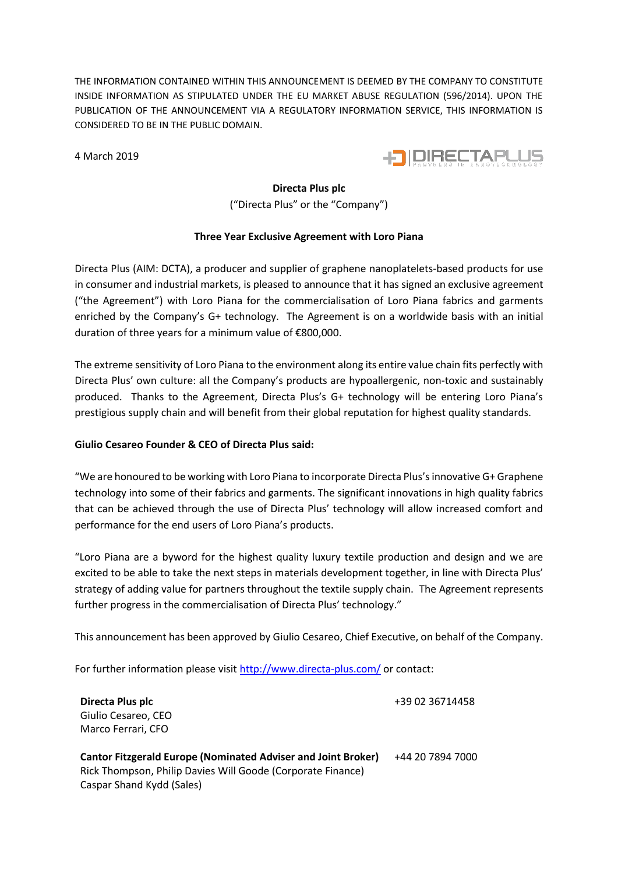THE INFORMATION CONTAINED WITHIN THIS ANNOUNCEMENT IS DEEMED BY THE COMPANY TO CONSTITUTE INSIDE INFORMATION AS STIPULATED UNDER THE EU MARKET ABUSE REGULATION (596/2014). UPON THE PUBLICATION OF THE ANNOUNCEMENT VIA A REGULATORY INFORMATION SERVICE, THIS INFORMATION IS CONSIDERED TO BE IN THE PUBLIC DOMAIN.

4 March 2019



# **Directa Plus plc**

("Directa Plus" or the "Company")

## **Three Year Exclusive Agreement with Loro Piana**

Directa Plus (AIM: DCTA), a producer and supplier of graphene nanoplatelets-based products for use in consumer and industrial markets, is pleased to announce that it has signed an exclusive agreement ("the Agreement") with Loro Piana for the commercialisation of Loro Piana fabrics and garments enriched by the Company's G+ technology. The Agreement is on a worldwide basis with an initial duration of three years for a minimum value of €800,000.

The extreme sensitivity of Loro Piana to the environment along its entire value chain fits perfectly with Directa Plus' own culture: all the Company's products are hypoallergenic, non-toxic and sustainably produced. Thanks to the Agreement, Directa Plus's G+ technology will be entering Loro Piana's prestigious supply chain and will benefit from their global reputation for highest quality standards.

### **Giulio Cesareo Founder & CEO of Directa Plus said:**

"We are honoured to be working with Loro Piana to incorporate Directa Plus's innovative G+ Graphene technology into some of their fabrics and garments. The significant innovations in high quality fabrics that can be achieved through the use of Directa Plus' technology will allow increased comfort and performance for the end users of Loro Piana's products.

"Loro Piana are a byword for the highest quality luxury textile production and design and we are excited to be able to take the next steps in materials development together, in line with Directa Plus' strategy of adding value for partners throughout the textile supply chain. The Agreement represents further progress in the commercialisation of Directa Plus' technology."

This announcement has been approved by Giulio Cesareo, Chief Executive, on behalf of the Company.

For further information please visit<http://www.directa-plus.com/> or contact:

| Directa Plus plc                                                     | +39 02 36714458  |
|----------------------------------------------------------------------|------------------|
| Giulio Cesareo, CEO                                                  |                  |
| Marco Ferrari, CFO                                                   |                  |
|                                                                      |                  |
| <b>Cantor Fitzgerald Europe (Nominated Adviser and Joint Broker)</b> | +44 20 7894 7000 |
| Rick Thompson, Philip Davies Will Goode (Corporate Finance)          |                  |
| Caspar Shand Kydd (Sales)                                            |                  |